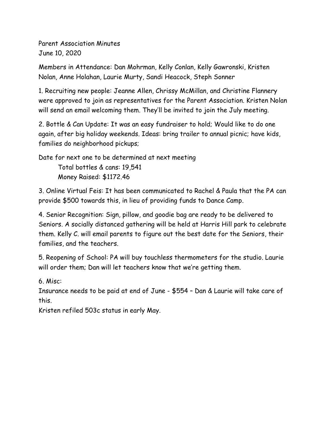Parent Association Minutes June 10, 2020

Members in Attendance: Dan Mohrman, Kelly Conlan, Kelly Gawronski, Kristen Nolan, Anne Holahan, Laurie Murty, Sandi Heacock, Steph Sonner

1. Recruiting new people: Jeanne Allen, Chrissy McMillan, and Christine Flannery were approved to join as representatives for the Parent Association. Kristen Nolan will send an email welcoming them. They'll be invited to join the July meeting.

2. Bottle & Can Update: It was an easy fundraiser to hold; Would like to do one again, after big holiday weekends. Ideas: bring trailer to annual picnic; have kids, families do neighborhood pickups;

Date for next one to be determined at next meeting Total bottles & cans: 19,541 Money Raised: \$1172.46

3. Online Virtual Feis: It has been communicated to Rachel & Paula that the PA can provide \$500 towards this, in lieu of providing funds to Dance Camp.

4. Senior Recognition: Sign, pillow, and goodie bag are ready to be delivered to Seniors. A socially distanced gathering will be held at Harris Hill park to celebrate them. Kelly C. will email parents to figure out the best date for the Seniors, their families, and the teachers.

5. Reopening of School: PA will buy touchless thermometers for the studio. Laurie will order them; Dan will let teachers know that we're getting them.

6. Misc:

Insurance needs to be paid at end of June - \$554 – Dan & Laurie will take care of this.

Kristen refiled 503c status in early May.